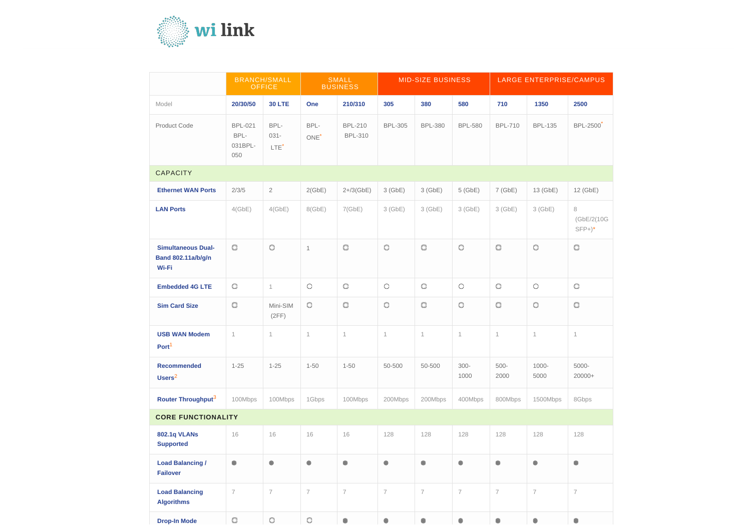

|                                                                 | <b>BRANCH/SMALL</b><br><b>OFFICE</b>     |                                     | <b>SMALL</b><br><b>BUSINESS</b> |                                  | <b>MID-SIZE BUSINESS</b> |                             |                     | LARGE ENTERPRISE/CAMPUS |                     |                              |
|-----------------------------------------------------------------|------------------------------------------|-------------------------------------|---------------------------------|----------------------------------|--------------------------|-----------------------------|---------------------|-------------------------|---------------------|------------------------------|
| Model                                                           | 20/30/50                                 | <b>30 LTE</b>                       | One                             | 210/310                          | 305                      | 380                         | 580                 | 710                     | 1350                | 2500                         |
| <b>Product Code</b>                                             | <b>BPL-021</b><br>BPL-<br>031BPL-<br>050 | BPL-<br>$031 -$<br>LTE <sup>*</sup> | BPL-<br>ONE <sup>*</sup>        | <b>BPL-210</b><br><b>BPL-310</b> | <b>BPL-305</b>           | <b>BPL-380</b>              | <b>BPL-580</b>      | <b>BPL-710</b>          | <b>BPL-135</b>      | <b>BPL-2500</b>              |
| <b>CAPACITY</b>                                                 |                                          |                                     |                                 |                                  |                          |                             |                     |                         |                     |                              |
| <b>Ethernet WAN Ports</b>                                       | 2/3/5                                    | $\overline{2}$                      | 2(GbE)                          | $2 + 3$ (GbE)                    | 3(GbE)                   | 3(GbE)                      | $5$ (GbE)           | 7(GbE)                  | 13 (GbE)            | 12 (GbE)                     |
| <b>LAN Ports</b>                                                | 4(GbE)                                   | 4(GbE)                              | 8(GbE)                          | 7(GbE)                           | $3$ (GbE)                | $3$ (GbE)                   | 3(GbE)              | $3$ (GbE)               | $3$ (GbE)           | 8<br>(GbE/2(10G<br>$SFP+)^*$ |
| <b>Simultaneous Dual-</b><br><b>Band 802.11a/b/g/n</b><br>Wi-Fi | $\circlearrowright$                      | $\circ$                             | $\mathbf{1}$                    | $\circlearrowright$              | $\circlearrowright$      | Ö                           | $\circlearrowright$ | O                       | $\circlearrowright$ | $\circ$                      |
| <b>Embedded 4G LTE</b>                                          | $\circlearrowright$                      | $\mathbf{1}$                        | $\circ$                         | $\circlearrowright$              | $\circ$                  | $\circ$                     | $\circ$             | $\circ$                 | O                   | $\circlearrowright$          |
| <b>Sim Card Size</b>                                            | $\circ$                                  | Mini-SIM<br>(2FF)                   | $\circlearrowright$             | $\circlearrowright$              | $\circ$                  | $\circ$                     | O                   | O                       | $\circlearrowright$ | $\circ$                      |
| <b>USB WAN Modem</b><br>Port <sup>1</sup>                       | $\mathbf{1}$                             | $\mathbf{1}$                        | $\mathbf{1}$                    | $\overline{1}$                   | $\mathbf{1}$             | $\mathbf{1}$                | $\mathbf{1}$        | $\mathbf{1}$            | $\mathbf{1}$        | 1                            |
| <b>Recommended</b><br>Users $2$                                 | $1 - 25$                                 | $1 - 25$                            | $1 - 50$                        | $1 - 50$                         | 50-500                   | 50-500                      | $300 -$<br>1000     | $500 -$<br>2000         | $1000 -$<br>5000    | 5000-<br>20000+              |
| Router Throughput <sup>3</sup>                                  | 100Mbps                                  | 100Mbps                             | 1Gbps                           | 100Mbps                          | 200Mbps                  | 200Mbps                     | 400Mbps             | 800Mbps                 | 1500Mbps            | 8Gbps                        |
| <b>CORE FUNCTIONALITY</b>                                       |                                          |                                     |                                 |                                  |                          |                             |                     |                         |                     |                              |
| <b>802.1q VLANs</b><br><b>Supported</b>                         | 16                                       | 16                                  | 16                              | 16                               | 128                      | 128                         | 128                 | 128                     | 128                 | 128                          |
| <b>Load Balancing /</b><br><b>Failover</b>                      | $\mathcal{L}_{\mathcal{D}}$              | ۰                                   | ۰                               | ۰                                | ۰                        | $\mathcal{L}_{\mathcal{D}}$ | ۰                   | ۱                       | ۰                   | ۰                            |
| <b>Load Balancing</b><br><b>Algorithms</b>                      | $\overline{7}$                           | $\overline{7}$                      | $\overline{7}$                  | $\overline{7}$                   | $\overline{7}$           | $\overline{7}$              | $\overline{7}$      | $\overline{7}$          | $\overline{7}$      | $\overline{7}$               |
| <b>Drop-In Mode</b>                                             | $\circlearrowright$                      | $\circlearrowright$                 | $\circlearrowright$             | ۰                                | ۰                        | ۰                           | ۰                   | ۰                       | ۰                   | ۰                            |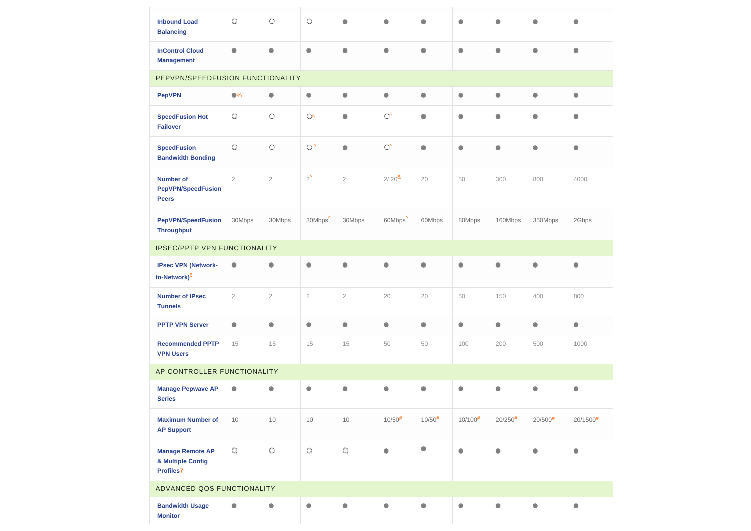| <b>Inbound Load</b><br><b>Balancing</b>                          | $\circlearrowright$ | O                   | $\circ$             | ۰              | ۰                     | $\mathcal{L}$               | ۰             | ۵                     | ۰             | ۵                      |
|------------------------------------------------------------------|---------------------|---------------------|---------------------|----------------|-----------------------|-----------------------------|---------------|-----------------------|---------------|------------------------|
| <b>InControl Cloud</b><br><b>Management</b>                      | ۰                   | ۰                   | ۰                   | ۰              | ۰                     | $\mathcal{L}_{\mathcal{D}}$ | ۰             | ۰                     | ۰             | ۵                      |
| PEPVPN/SPEEDFUSION FUNCTIONALITY                                 |                     |                     |                     |                |                       |                             |               |                       |               |                        |
| <b>PepVPN</b>                                                    | $\bullet\%$         | ۰                   | ۰                   | $\circledcirc$ | ۰                     | ٥                           | ۰             | ۰                     | ۰             | ۰                      |
| <b>SpeedFusion Hot</b><br><b>Failover</b>                        | $\circ$             | $\circ$             | $\mathbb{O}^n$      | ۰              | $\mathbb{C}^{\prime}$ | $\mathcal{L}$               | ۰             | ۰                     | ۰             | ٠                      |
| <b>SpeedFusion</b><br><b>Bandwidth Bonding</b>                   | $\circlearrowright$ | $\circlearrowright$ | $\circ$             | ۰              | $\mathbb{C}^{\prime}$ | ۰                           | ۰             | ۰                     | ۰             | ۵                      |
| <b>Number of</b><br><b>PepVPN/SpeedFusion</b><br><b>Peers</b>    | $\overline{2}$      | $\sqrt{2}$          | $2^{\prime}$        | $\sqrt{2}$     | $2/20^{8}$            | 20                          | 50            | 300                   | 800           | 4000                   |
| <b>PepVPN/SpeedFusion</b><br><b>Throughput</b>                   | 30Mbps              | 30Mbps              | 30Mbps <sup>^</sup> | 30Mbps         | 60Mbps <sup>^</sup>   | 60Mbps                      | 80Mbps        | 160Mbps               | 350Mbps       | 2Gbps                  |
| <b>IPSEC/PPTP VPN FUNCTIONALITY</b>                              |                     |                     |                     |                |                       |                             |               |                       |               |                        |
| <b>IPsec VPN (Network-</b><br>to-Network) <sup>6</sup>           | ۱                   | ۰                   | ۰                   | ۰              | ۰                     | ۰                           | ۰             | ۰                     | ۰             | ۵                      |
| <b>Number of IPsec</b><br><b>Tunnels</b>                         | $\sqrt{2}$          | $\sqrt{2}$          | $\overline{2}$      | $\sqrt{2}$     | 20                    | 20                          | 50            | 150                   | 400           | 800                    |
| <b>PPTP VPN Server</b>                                           | ۰                   | ۰                   | ۰                   | ۰              | ۰                     | $\mathcal{L}_{\mathcal{D}}$ | ۰             | ۰                     | ۰             | ۰                      |
| <b>Recommended PPTP</b><br><b>VPN Users</b>                      | 15                  | 15                  | 15                  | 15             | 50                    | 50                          | 100           | 200                   | 500           | 1000                   |
| AP CONTROLLER FUNCTIONALITY                                      |                     |                     |                     |                |                       |                             |               |                       |               |                        |
| <b>Manage Pepwave AP</b><br><b>Series</b>                        | ۰                   | ۰                   | ۰                   | ۰              | ۰                     | ۰                           | ۰             | ۰                     | ۰             | ۵                      |
| <b>Maximum Number of</b><br><b>AP Support</b>                    | 10                  | 10                  | 10                  | 10             | $10/50^{#}$           | $10/50^{#}$                 | $10/100^{\#}$ | $20/250$ <sup>#</sup> | $20/500^{\#}$ | $20/1500$ <sup>#</sup> |
| <b>Manage Remote AP</b><br>& Multiple Config<br><b>Profiles7</b> | $\circlearrowright$ | $\circ$             | $\circ$             | $\circ$        | ۰                     |                             | ۰             | ۰                     | ۰             |                        |
| ADVANCED QOS FUNCTIONALITY                                       |                     |                     |                     |                |                       |                             |               |                       |               |                        |
| <b>Bandwidth Usage</b><br><b>Monitor</b>                         | ۰                   | ۰                   | ۰                   | ۰              | ۰                     | $\mathcal{L}$               | ۰             | ۰                     | ۰             | ۵                      |

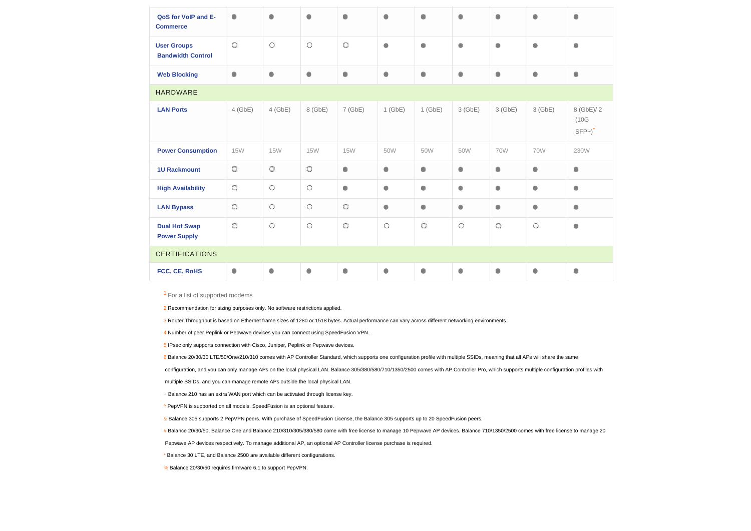| QoS for VoIP and E-<br><b>Commerce</b>         | ۰                           | ۰                   | ۵                   | ۰                   | ۵                           | ۵         | ۰                           | ۵                           | ۰                   | ۰                                          |
|------------------------------------------------|-----------------------------|---------------------|---------------------|---------------------|-----------------------------|-----------|-----------------------------|-----------------------------|---------------------|--------------------------------------------|
| <b>User Groups</b><br><b>Bandwidth Control</b> | $\circ$                     | $\circlearrowright$ | $\circlearrowright$ | $\circlearrowright$ | ۰                           | ۰         | $\bullet$                   | ۰                           | ۰                   | ۰                                          |
| <b>Web Blocking</b>                            | ۰                           | ۰                   | ۰                   | ۰                   | ۰                           | ۰         | ۰                           | ۰                           | ۰                   | ۰                                          |
| <b>HARDWARE</b>                                |                             |                     |                     |                     |                             |           |                             |                             |                     |                                            |
| <b>LAN Ports</b>                               | $4$ (GbE)                   | $4$ (GbE)           | 8 (GbE)             | 7(GbE)              | $1$ (GbE)                   | $1$ (GbE) | 3(GbE)                      | 3(GbE)                      | 3(GbE)              | 8 (GbE)/ 2<br>(10G)<br>$SFP+$ <sup>*</sup> |
| <b>Power Consumption</b>                       | <b>15W</b>                  | <b>15W</b>          | <b>15W</b>          | <b>15W</b>          | 50W                         | 50W       | 50W                         | <b>70W</b>                  | <b>70W</b>          | 230W                                       |
| <b>1U Rackmount</b>                            | $\circlearrowright$         | $\circlearrowright$ | $\circlearrowright$ | ۰                   | ۰                           | ۰         | ۰                           | ۰                           | ۰                   | ۰                                          |
| <b>High Availability</b>                       | $\circ$                     | $\circ$             | $\circ$             | ۱                   | ۰                           | ۰         | $\mathcal{L}_{\mathcal{D}}$ | ۰                           | ۰                   | ۰                                          |
| <b>LAN Bypass</b>                              | $\circlearrowright$         | $\circ$             | $\circ$             | $\circlearrowright$ | ۰                           | ۰         | ۰                           | ۰                           | ۰                   | ۰                                          |
| <b>Dual Hot Swap</b><br><b>Power Supply</b>    | $\circ$                     | $\circ$             | $\circ$             | $\circlearrowright$ | $\circ$                     | $\circ$   | $\circ$                     | $\circlearrowright$         | $\circlearrowright$ | ۰                                          |
| <b>CERTIFICATIONS</b>                          |                             |                     |                     |                     |                             |           |                             |                             |                     |                                            |
| FCC, CE, RoHS                                  | $\mathcal{L}_{\mathcal{D}}$ | ۰                   | ۰                   | ۰                   | $\mathcal{L}_{\mathcal{D}}$ | ۰         | ۰                           | $\mathcal{L}_{\mathcal{D}}$ | ٥                   | ۰                                          |
|                                                |                             |                     |                     |                     |                             |           |                             |                             |                     |                                            |

<sup>1</sup> For a list of supported modems

2 Recommendation for sizing purposes only. No software restrictions applied.

3 Router Throughput is based on Ethernet frame sizes of 1280 or 1518 bytes. Actual performance can vary across different networking environments.

| ◉                                            |
|----------------------------------------------|
| ۰                                            |
| ۰                                            |
|                                              |
| 8 (GbE)/ 2<br>(10G)<br>$SFP+$ ) <sup>*</sup> |
| 230W                                         |
| ◉                                            |
| ۸                                            |
| ۰                                            |
| 6                                            |
|                                              |
| ◈                                            |

6 Balance 20/30/30 LTE/50/One/210/310 comes with AP Controller Standard, which supports one configuration profile with multiple SSIDs, meaning that all APs will share the same configuration, and you can only manage APs on the local physical LAN. Balance 305/380/580/710/1350/2500 comes with AP Controller Pro, which supports multiple configuration profiles with multiple SSIDs, and you can manage remote APs outside the local physical LAN.

+ Balance 210 has an extra WAN port which can be activated through license key.

4 Number of peer Peplink or Pepwave devices you can connect using SpeedFusion VPN.

5 IPsec only supports connection with Cisco, Juniper, Peplink or Pepwave devices.

^ PepVPN is supported on all models. SpeedFusion is an optional feature.

& Balance 305 supports 2 PepVPN peers. With purchase of SpeedFusion License, the Balance 305 supports up to 20 SpeedFusion peers.

# Balance 20/30/50, Balance One and Balance 210/310/305/380/580 come with free license to manage 10 Pepwave AP devices. Balance 710/1350/2500 comes with free license to manage 20

Pepwave AP devices respectively. To manage additional AP, an optional AP Controller license purchase is required.

\* Balance 30 LTE, and Balance 2500 are available different configurations.

% Balance 20/30/50 requires firmware 6.1 to support PepVPN.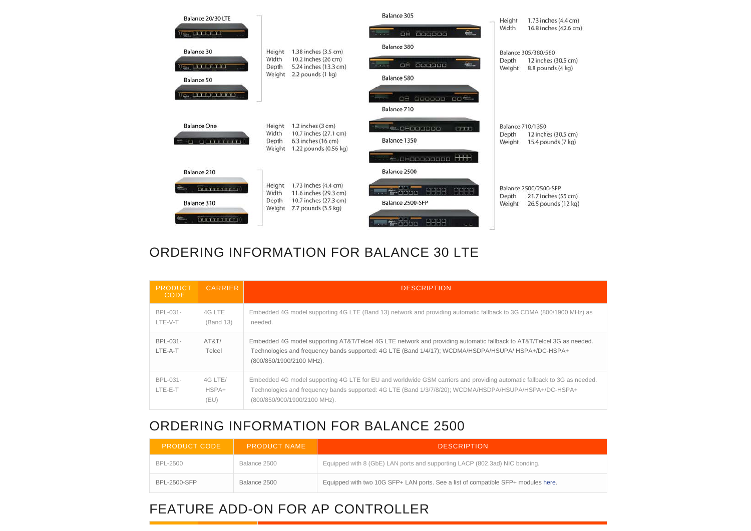

# ORDERING INFORMATION FOR BALANCE 30 LTE

| <b>PRODUCT</b><br>CODE. | <b>CARRIER</b>           | <b>DESCRIPTION</b>                                                                                                                                                                                                                                                |
|-------------------------|--------------------------|-------------------------------------------------------------------------------------------------------------------------------------------------------------------------------------------------------------------------------------------------------------------|
| BPL-031-<br>LTE-V-T     | 4G LTE<br>(Band 13)      | Embedded 4G model supporting 4G LTE (Band 13) network and providing automatic fallback to 3G CDMA (800/1900 MHz) as<br>needed.                                                                                                                                    |
| BPL-031-<br>LTE-A-T     | AT&T/<br>Telcel          | Embedded 4G model supporting AT&T/Telcel 4G LTE network and providing automatic fallback to AT&T/Telcel 3G as needed.<br>Technologies and frequency bands supported: 4G LTE (Band 1/4/17); WCDMA/HSDPA/HSUPA/ HSPA+/DC-HSPA+<br>(800/850/1900/2100 MHz).          |
| BPL-031-<br>LTE-E-T     | 4G LTE/<br>HSPA+<br>(EU) | Embedded 4G model supporting 4G LTE for EU and worldwide GSM carriers and providing automatic fallback to 3G as needed.<br>Technologies and frequency bands supported: 4G LTE (Band 1/3/7/8/20); WCDMA/HSDPA/HSUPA/HSPA+/DC-HSPA+<br>(800/850/900/1900/2100 MHz). |

# ORDERING INFORMATION FOR BALANCE 2500

| <b>PRODUCT CODE</b> | <b>PRODUCT NAME</b> | <b>DESCRIPTION</b>                                                                |
|---------------------|---------------------|-----------------------------------------------------------------------------------|
| BPL-2500            | Balance 2500        | Equipped with 8 (GbE) LAN ports and supporting LACP (802.3ad) NIC bonding.        |
| <b>BPL-2500-SFP</b> | Balance 2500        | Equipped with two 10G SFP+ LAN ports. See a list of compatible SFP+ modules here. |

# FEATURE ADD-ON FOR AP CONTROLLER

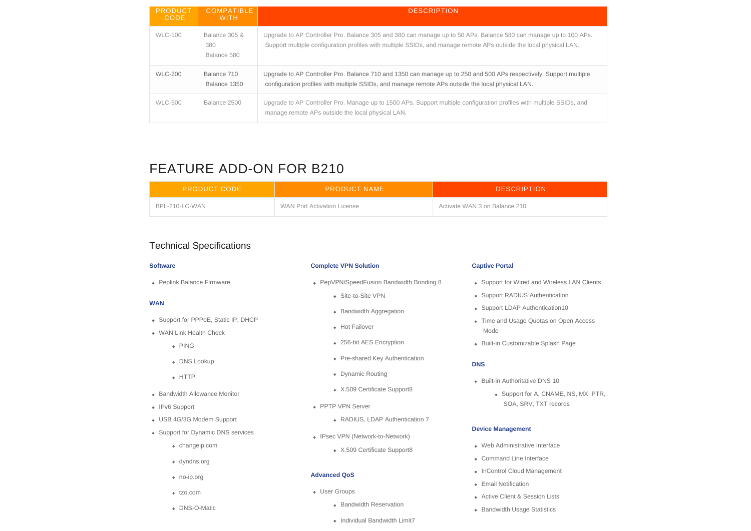| <b>PRODUCT</b><br><b>CODE</b> | <b>COMPATIBLE</b><br>WITH.          | <b>DESCRIPTION</b>                                                                                                                                                                                                                    |
|-------------------------------|-------------------------------------|---------------------------------------------------------------------------------------------------------------------------------------------------------------------------------------------------------------------------------------|
| <b>WLC-100</b>                | Balance 305 &<br>380<br>Balance 580 | Upgrade to AP Controller Pro. Balance 305 and 380 can manage up to 50 APs. Balance 580 can manage up to 100 APs.<br>Support multiple configuration profiles with multiple SSIDs, and manage remote APs outside the local physical LAN |
| <b>WLC-200</b>                | Balance 710<br>Balance 1350         | Upgrade to AP Controller Pro. Balance 710 and 1350 can manage up to 250 and 500 APs respectively. Support multiple<br>configuration profiles with multiple SSIDs, and manage remote APs outside the local physical LAN.               |
| <b>WLC-500</b>                | Balance 2500                        | Upgrade to AP Controller Pro. Manage up to 1500 APs. Support multiple configuration profiles with multiple SSIDs, and<br>manage remote APs outside the local physical LAN.                                                            |

- User Groups
	- **Bandwidth Reservation**
	- Individual Bandwidth Limit7

# FEATURE ADD-ON FOR B210

| <b>PRODUCT CODE</b> | <b>PRODUCT NAME</b>         | <b>DESCRIPTION</b>            |
|---------------------|-----------------------------|-------------------------------|
| BPL-210-LC-WAN      | WAN Port Activation License | Activate WAN 3 on Balance 210 |

# Technical Specifications

# **Software**

Peplink Balance Firmware

- Built-in Authoritative DNS 10
	- Support for A, CNAME, NS, MX, PTR, SOA, SRV, TXT records

- Web Administrative Interface
- Command Line Interface
- InControl Cloud Management
- Email Notification
- Active Client & Session Lists
- Bandwidth Usage Statistics

# **WAN**



- Support for PPPoE, Static IP, DHCP
- WAN Link Health Check
	- PING
	- DNS Lookup
	- HTTP
- **Bandwidth Allowance Monitor**
- IPv6 Support
- USB 4G/3G Modem Support
- Support for Dynamic DNS services
	- changeip.com
	- dyndns.org
	- no-ip.org
	- tzo.com
	- DNS-O-Matic

- 
- 
- 

# **Complete VPN Solution**

- PepVPN/SpeedFusion Bandwidth Bonding 8
	- Site-to-Site VPN
	- Bandwidth Aggregation
	- Hot Failover
	- 256-bit AES Encryption
	- Pre-shared Key Authentication
	- Dynamic Routing
	- X.509 Certificate Support8
- PPTP VPN Server
	- RADIUS, LDAP Authentication 7
- IPsec VPN (Network-to-Network)
	- X.509 Certificate Support8

# **Advanced QoS**

# **Captive Portal**

- Support for Wired and Wireless LAN Clients
- Support RADIUS Authentication
- Support LDAP Authentication10
- Time and Usage Quotas on Open Access Mode
- Built-in Customizable Splash Page

## **DNS**

### **Device Management**